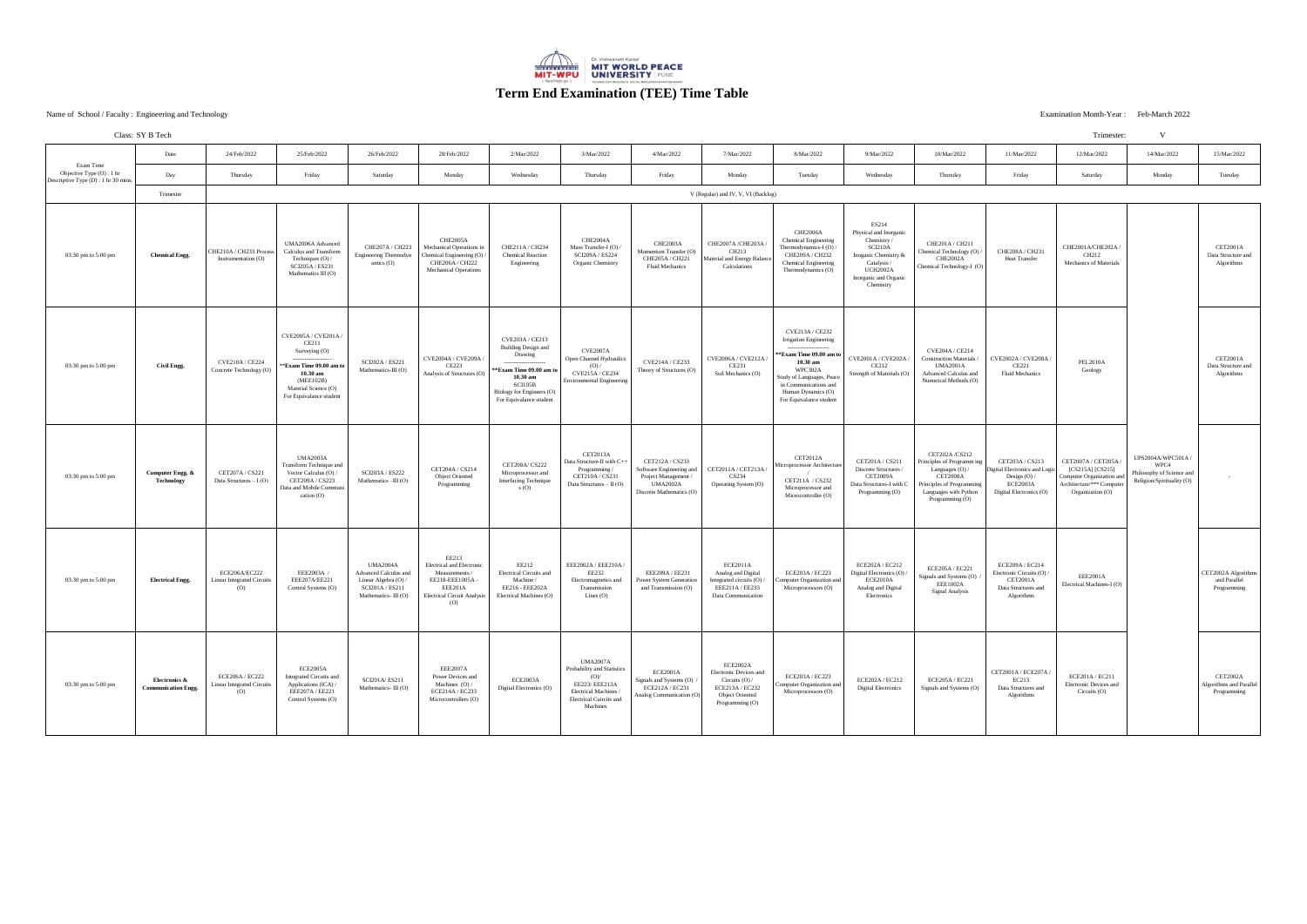Name of School / Faculty: Engineering and Technology<br>
Examination Month-Year: Feb-March 2022 Engineering and Technology Examination Month-Year :

|                                                                               | Class: SY B Tech                            |                                                           |                                                                                                                                                      |                                                                                                            |                                                                                                                                        |                                                                                                                                                                     |                                                                                                                                               |                                                                                                                    |                                                                                                                        |                                                                                                                                                                                                             |                                                                                                                                                        |                                                                                                                                                            |                                                                                                         | Trimester:                                                                                                           | V                                                                                    |                                                           |
|-------------------------------------------------------------------------------|---------------------------------------------|-----------------------------------------------------------|------------------------------------------------------------------------------------------------------------------------------------------------------|------------------------------------------------------------------------------------------------------------|----------------------------------------------------------------------------------------------------------------------------------------|---------------------------------------------------------------------------------------------------------------------------------------------------------------------|-----------------------------------------------------------------------------------------------------------------------------------------------|--------------------------------------------------------------------------------------------------------------------|------------------------------------------------------------------------------------------------------------------------|-------------------------------------------------------------------------------------------------------------------------------------------------------------------------------------------------------------|--------------------------------------------------------------------------------------------------------------------------------------------------------|------------------------------------------------------------------------------------------------------------------------------------------------------------|---------------------------------------------------------------------------------------------------------|----------------------------------------------------------------------------------------------------------------------|--------------------------------------------------------------------------------------|-----------------------------------------------------------|
| Exam Time<br>Objective Type (O) : 1 hr<br>Descriptive Type (D) : 1 hr 30 mins | Date                                        | 24/Feb/2022                                               | 25/Feb/2022                                                                                                                                          | 26/Feb/2022                                                                                                | 28/Feb/2022                                                                                                                            | 2/Mar/2022                                                                                                                                                          | 3/Mar/2022                                                                                                                                    | 4/Mar/2022                                                                                                         | 7/Mar/2022                                                                                                             | 8/Mar/2022                                                                                                                                                                                                  | 9/Mar/2022                                                                                                                                             | 10/Mar/2022                                                                                                                                                | 11/Mar/2022                                                                                             | 12/Mar/2022                                                                                                          | 14/Mar/2022                                                                          | 15/Mar/2022                                               |
|                                                                               | Day                                         | Thursday                                                  | Friday                                                                                                                                               | Saturday                                                                                                   | Monday                                                                                                                                 | Wednesday                                                                                                                                                           | Thursday                                                                                                                                      | Friday                                                                                                             | Monday                                                                                                                 | Tuesday                                                                                                                                                                                                     | Wednesday                                                                                                                                              | Thursday                                                                                                                                                   | Friday                                                                                                  | Saturday                                                                                                             | Monday                                                                               | Tuesday                                                   |
|                                                                               | Trimester                                   | V (Regular) and IV, V, VI (Backlog)                       |                                                                                                                                                      |                                                                                                            |                                                                                                                                        |                                                                                                                                                                     |                                                                                                                                               |                                                                                                                    |                                                                                                                        |                                                                                                                                                                                                             |                                                                                                                                                        |                                                                                                                                                            |                                                                                                         |                                                                                                                      |                                                                                      |                                                           |
| 03:30 pm to 5:00 pm                                                           | <b>Chemical Engg.</b>                       | CHE210A / CH233 Process<br>Instrumentation (O)            | UMA2006A Advanced<br>Calculus and Transform<br>Techniques (O) /<br>SCI205A / ES231<br>Mathematics $III(0)$                                           | CHE207A / CH223<br>Engineering Thermodyn<br>amics $(O)$                                                    | CHE2005A<br>Mechanical Operations in<br>Chemical Engineering (O)<br>CHE206A / CH222<br><b>Mechanical Operations</b>                    | CHE211A / CH234<br><b>Chemical Reaction</b><br>Engineering                                                                                                          | CHE2004A<br>Mass Transfer-I (O)<br>SCI209A / ES224<br>Organic Chemistry                                                                       | CHE2003A<br>Momentum Transfer (O)<br>CHE205A / CH221<br><b>Fluid Mechanics</b>                                     | CHE2007A/CHE203A<br>CH213<br>Material and Energy Balan<br>Calculations                                                 | CHE2006A<br><b>Chemical Engineering</b><br>Thermodynamics-I (O)<br>CHE209A / CH232<br><b>Chemical Engineering</b><br>Thermodynamics (O)                                                                     | ES214<br>Physical and Inorganic<br>Chemistry/<br>SCI210A<br>Inoganic Chemistry &<br>Catalysis<br><b>UCH2002A</b><br>Inorganic and Organic<br>Chemistry | CHE201A / CH211<br>Chemical Technology (O)<br>CHE2002A<br>Chemical Technology-I (O)                                                                        | CHE208A / CH231<br><b>Heat Transfer</b>                                                                 | CHE2001A/CHE202A/<br>CH212<br>Mechanics of Materials                                                                 |                                                                                      | <b>CET2001A</b><br>Data Structure and<br>Algorithms       |
| 03:30 pm to 5:00 pm                                                           | Civil Engg.                                 | CVE210A / CE224<br>Concrete Technology (O)                | CVE2005A / CVE201A /<br>CE211<br>Surveying (O)<br>*Exam Time 09.00 am to<br>10.30 am<br>(MEE102B)<br>Material Science (O)<br>For Equivalance student | SCI202A / ES221<br>Mathematics-III (O)                                                                     | CVE2004A / CVE209A /<br>CE223<br>Analysis of Structures (O)                                                                            | CVE203A / CE213<br><b>Building Design and</b><br>Drawing<br>*Exam Time 09.00 am to<br>$10.30$ am<br>SCI105B<br>Biology for Engineers (O)<br>For Equivalance student | CVE2007A<br>Open Channel Hydraulics<br>(O)<br>CVE215A / CE234<br><b>Environmental Engineering</b>                                             | CVE214A / CE233<br>Theory of Structures (O)                                                                        | CVE2006A / CVE212A<br>CE231<br>Soil Mechanics (O)                                                                      | CVE213A / CE232<br><b>Irrigation Engineering</b><br>**Exam Time 09.00 am to<br>$10.30$ am<br>WPC302A<br>Study of Languages, Peace<br>in Communications and<br>Human Dynamics (O)<br>For Equivalance student | CVE2001A / CVE202A /<br>CE212<br>Strength of Materials (O)                                                                                             | CVE204A / CE214<br><b>Construction Materials</b><br><b>UMA2001A</b><br>Advanced Calculus and<br>Numerical Methods (O)                                      | CVE2002A / CVE208A /<br>CE221<br>Fluid Mechanics                                                        | <b>PEL2010A</b><br>Geology                                                                                           |                                                                                      | <b>CET2001A</b><br>Data Structure and<br>Algorithms       |
| 03:30 pm to 5:00 pm                                                           | Computer Engg. &<br><b>Technology</b>       | CET207A / CS221<br>Data Structures $- I(O)$               | <b>UMA2003A</b><br>Transform Technique and<br>Vector Calculus (O) /<br>CET209A / CS223<br>Data and Mobile Commun<br>cation (O)                       | SCI203A / ES222<br>Mathematics -III (O)                                                                    | CET204A / CS214<br><b>Object Oriented</b><br>Programming                                                                               | CET208A/ CS222<br>Microprocessor and<br><b>Interfacing Technique</b><br>S(0)                                                                                        | CET2013A<br>Data Structure-II with C++<br>Programming/<br>CET210A / CS231<br>Data Structures $-$ II (O)                                       | CET212A / CS233<br>Software Engineering and<br>Project Management /<br><b>UMA2002A</b><br>Discrete Mathematics (O) | CET2011A / CET213A<br>CS234<br>Operating System (O)                                                                    | <b>CET2012A</b><br>Microprocessor Architecture<br>CET211A / CS232<br>Microprocessor and<br>Microcontroller (O)                                                                                              | CET201A / CS211<br>Discrete Structures /<br><b>CET2009A</b><br>Data Structures-I with C<br>Programming (O)                                             | CET202A/CS212<br>Principles of Programm ing<br>Languages (O) /<br><b>CET2008A</b><br>Principles of Programming<br>Languages with Python<br>Programming (O) | CET203A / CS213<br>Digital Electronics and Logic<br>Design (O) /<br>ECE2003A<br>Digital Electronics (O) | CET2007A / CET205A<br>[CS215A] [CS215]<br>Computer Organization and<br>Architecture/*** Computer<br>Organization (O) | UPS2004A/WPC501A /<br>WPC4<br>Philosophy of Science and<br>Religion/Spirituality (O) |                                                           |
| 03:30 pm to 5:00 pm                                                           | <b>Electrical Engg.</b>                     | ECE206A/EC222<br><b>Linear Integrated Circuits</b><br>(O) | EEE2003A<br>EEE207A/EE221<br>Control Systems (O)                                                                                                     | <b>UMA2004A</b><br>Advanced Calculus and<br>Linear Algebra (O) /<br>SCI201A / ES211<br>Mathematics-III (O) | EE213<br><b>Electrical and Electronic</b><br>Measurements /<br>EE218-EEE1005A-<br>EEE201A<br><b>Electrical Circuit Analysis</b><br>(O) | EE212<br>Electrical Circuits and<br>Machine /<br>EE216 - EEE202A<br>Electrical Machines (O)                                                                         | EEE2002A / EEE210A /<br>EE232<br>Electromagnetics and<br>Transmission<br>Lines $(O)$                                                          | EEE209A / EE231<br>Power System Generation<br>and Transmission (O)                                                 | ECE2011A<br>Analog and Digital<br>Integrated circuits (O) /<br>EEE211A / EE233<br>Data Communication                   | ECE203A / EC223<br>Computer Organization and<br>Microprocessors (O)                                                                                                                                         | ECE202A / EC212<br>Digital Electronics (O).<br><b>ECE2010A</b><br>Analog and Digital<br>Electronics                                                    | ECE205A / EC221<br>Signals and Systems (O)<br><b>EEE1002A</b><br><b>Signal Analysis</b>                                                                    | ECE209A / EC214<br>Electronic Circuits (O)<br><b>CET2001A</b><br>Data Structures and<br>Algorithms      | <b>EEE2001A</b><br>Electrical Machines-I (O)                                                                         |                                                                                      | CET2002A Algorithms<br>and Parallel<br>Programming        |
| 03:30 pm to 5:00 pm                                                           | Electronics &<br><b>Communication Engg.</b> | ECE206A / EC222<br>inear Integrated Circuits<br>(O)       | <b>ECE2005A</b><br><b>Integrated Circuits and</b><br>Applications (ICA) /<br>EEE207A / EE221<br>Control Systems (O)                                  | <b>SCI201A/ES211</b><br>Mathematics-III (O)                                                                | <b>EEE2007A</b><br>Power Devices and<br>Machines $(O) /$<br>ECE214A / EC233<br>Microcontrollers (O)                                    | ECE2003A<br>Digital Electronics (O)                                                                                                                                 | <b>UMA2007A</b><br>Probability and Statistics<br>(O)<br>EE223/ EEE213A<br>Electrical Machines /<br><b>Electrical Cuircits and</b><br>Machines | <b>ECE2001A</b><br>Signals and Systems (O)<br>ECE212A / EC231<br>Analog Communication (O)                          | ECE2002A<br>Electronic Devices and<br>Circuits $(O) /$<br>ECE213A / EC232<br><b>Object Oriented</b><br>Programming (O) | ECE203A / EC223<br>Computer Organization and<br>Microprocessors (O)                                                                                                                                         | ECE202A / EC212<br><b>Digital Electronics</b>                                                                                                          | ECE205A / EC221<br>Signals and Systems (O)                                                                                                                 | CET2001A / ECE207A /<br>EC213<br>Data Structures and<br>Algorithms                                      | ECE201A / EC211<br>Electronic Devices and<br>Circuits $(O)$                                                          |                                                                                      | CET2002A<br><b>Algorithms and Parallel</b><br>Programming |



## **Term End Examination (TEE) Time Table**